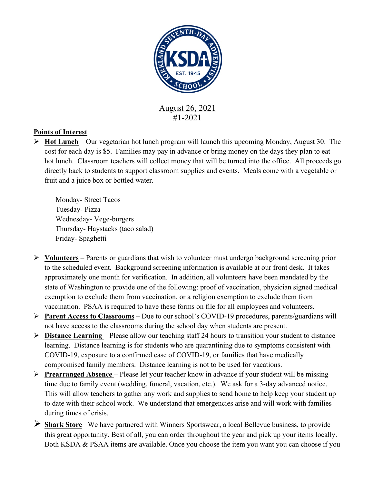

## **Points of Interest**

Ø **Hot Lunch** – Our vegetarian hot lunch program will launch this upcoming Monday, August 30. The cost for each day is \$5. Families may pay in advance or bring money on the days they plan to eat hot lunch. Classroom teachers will collect money that will be turned into the office. All proceeds go directly back to students to support classroom supplies and events. Meals come with a vegetable or fruit and a juice box or bottled water.

Monday- Street Tacos Tuesday- Pizza Wednesday- Vege-burgers Thursday- Haystacks (taco salad) Friday- Spaghetti

- Ø **Volunteers** Parents or guardians that wish to volunteer must undergo background screening prior to the scheduled event. Background screening information is available at our front desk. It takes approximately one month for verification. In addition, all volunteers have been mandated by the state of Washington to provide one of the following: proof of vaccination, physician signed medical exemption to exclude them from vaccination, or a religion exemption to exclude them from vaccination. PSAA is required to have these forms on file for all employees and volunteers.
- Ø **Parent Access to Classrooms** Due to our school's COVID-19 procedures, parents/guardians will not have access to the classrooms during the school day when students are present.
- Ø **Distance Learning**  Please allow our teaching staff 24 hours to transition your student to distance learning. Distance learning is for students who are quarantining due to symptoms consistent with COVID-19, exposure to a confirmed case of COVID-19, or families that have medically compromised family members. Distance learning is not to be used for vacations.
- Ø **Prearranged Absence**  Please let your teacher know in advance if your student will be missing time due to family event (wedding, funeral, vacation, etc.). We ask for a 3-day advanced notice. This will allow teachers to gather any work and supplies to send home to help keep your student up to date with their school work. We understand that emergencies arise and will work with families during times of crisis.
- Ø **Shark Store** –We have partnered with Winners Sportswear, a local Bellevue business, to provide this great opportunity. Best of all, you can order throughout the year and pick up your items locally. Both KSDA & PSAA items are available. Once you choose the item you want you can choose if you